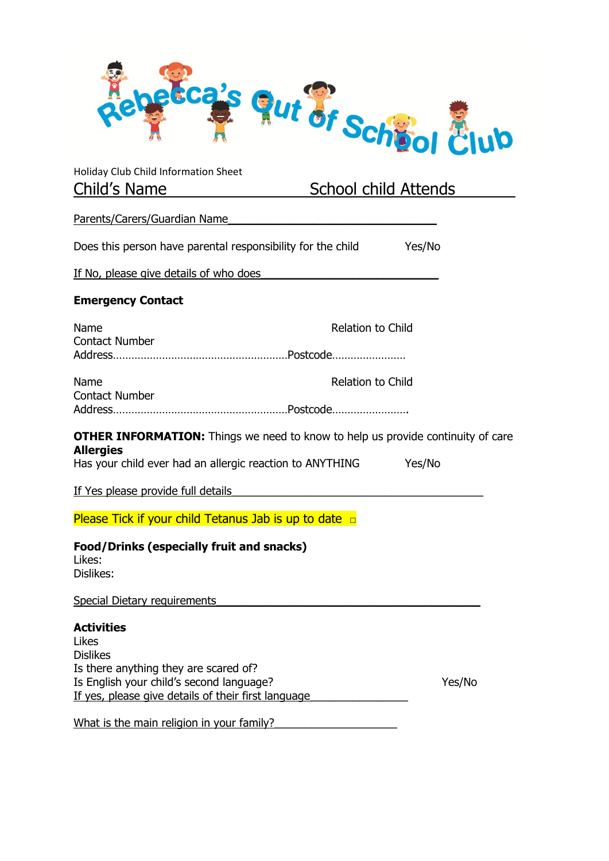

| Holiday Club Child Information Sheet                                                                                                                                                      |                          |                             |  |
|-------------------------------------------------------------------------------------------------------------------------------------------------------------------------------------------|--------------------------|-----------------------------|--|
| Child's Name                                                                                                                                                                              |                          | <u>School child Attends</u> |  |
| Parents/Carers/Guardian Name                                                                                                                                                              |                          |                             |  |
| Does this person have parental responsibility for the child                                                                                                                               |                          | Yes/No                      |  |
| If No, please give details of who does                                                                                                                                                    |                          |                             |  |
| <b>Emergency Contact</b>                                                                                                                                                                  |                          |                             |  |
| Name                                                                                                                                                                                      | <b>Relation to Child</b> |                             |  |
| <b>Contact Number</b>                                                                                                                                                                     |                          |                             |  |
| Name                                                                                                                                                                                      | <b>Relation to Child</b> |                             |  |
| <b>Contact Number</b>                                                                                                                                                                     |                          |                             |  |
| <b>OTHER INFORMATION:</b> Things we need to know to help us provide continuity of care<br><b>Allergies</b>                                                                                |                          |                             |  |
| Has your child ever had an allergic reaction to ANYTHING                                                                                                                                  |                          | Yes/No                      |  |
| If Yes please provide full details                                                                                                                                                        |                          |                             |  |
| Please Tick if your child Tetanus Jab is up to date $\Box$                                                                                                                                |                          |                             |  |
| Food/Drinks (especially fruit and snacks)<br>Likes:<br>Dislikes:                                                                                                                          |                          |                             |  |
| <b>Special Dietary requirements</b>                                                                                                                                                       |                          |                             |  |
| <b>Activities</b><br>Likes<br><b>Dislikes</b><br>Is there anything they are scared of?<br>Is English your child's second language?<br>If yes, please give details of their first language |                          | Yes/No                      |  |
|                                                                                                                                                                                           |                          |                             |  |

What is the main religion in your family?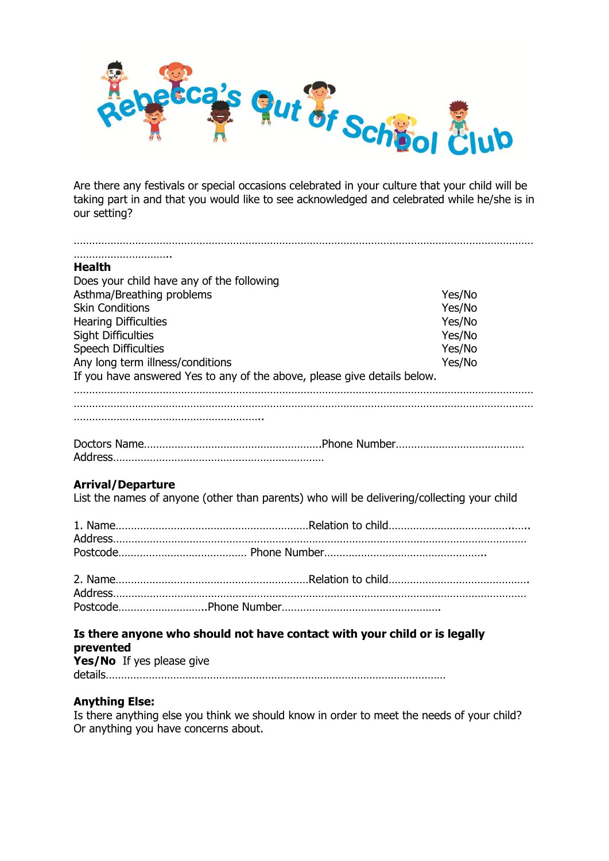

Are there any festivals or special occasions celebrated in your culture that your child will be taking part in and that you would like to see acknowledged and celebrated while he/she is in our setting?

| <b>Health</b>                                                                              |                  |  |
|--------------------------------------------------------------------------------------------|------------------|--|
| Does your child have any of the following                                                  |                  |  |
| Asthma/Breathing problems<br><b>Skin Conditions</b>                                        | Yes/No<br>Yes/No |  |
| <b>Hearing Difficulties</b>                                                                | Yes/No           |  |
| <b>Sight Difficulties</b>                                                                  | Yes/No           |  |
| <b>Speech Difficulties</b>                                                                 | Yes/No           |  |
| Any long term illness/conditions                                                           | Yes/No           |  |
| If you have answered Yes to any of the above, please give details below.                   |                  |  |
|                                                                                            |                  |  |
|                                                                                            |                  |  |
|                                                                                            |                  |  |
|                                                                                            |                  |  |
|                                                                                            |                  |  |
|                                                                                            |                  |  |
| <b>Arrival/Departure</b>                                                                   |                  |  |
| List the names of anyone (other than parents) who will be delivering/collecting your child |                  |  |
|                                                                                            |                  |  |
|                                                                                            |                  |  |
|                                                                                            |                  |  |
|                                                                                            |                  |  |
|                                                                                            |                  |  |
|                                                                                            |                  |  |
|                                                                                            |                  |  |
|                                                                                            |                  |  |

## **Is there anyone who should not have contact with your child or is legally prevented Yes/No** If yes please give

details…………………………………………………………………………………………………

## **Anything Else:**

Is there anything else you think we should know in order to meet the needs of your child? Or anything you have concerns about.